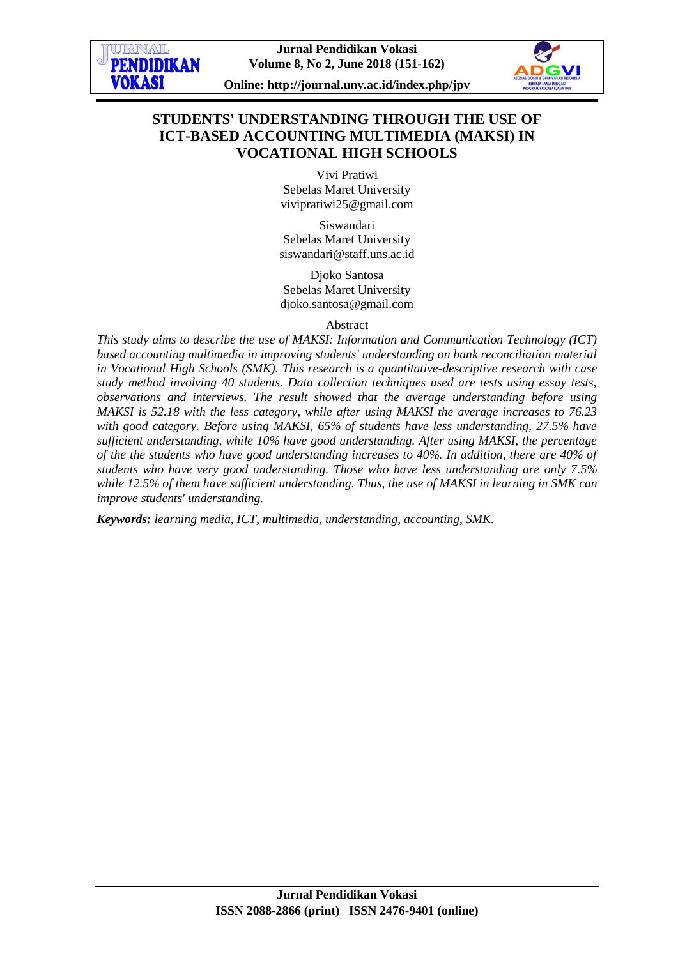

# **STUDENTS' UNDERSTANDING THROUGH THE USE OF ICT-BASED ACCOUNTING MULTIMEDIA (MAKSI) IN VOCATIONAL HIGH SCHOOLS**

Vivi Pratiwi Sebelas Maret University [vivipratiwi25@gmail.com](mailto:vivipratiwi25@gmail.com)

Siswandari Sebelas Maret University siswandari@staff.uns.ac.id

Djoko Santosa Sebelas Maret University djoko.santosa@gmail.com

## Abstract

*This study aims to describe the use of MAKSI: Information and Communication Technology (ICT) based accounting multimedia in improving students' understanding on bank reconciliation material in Vocational High Schools (SMK). This research is a quantitative-descriptive research with case study method involving 40 students. Data collection techniques used are tests using essay tests, observations and interviews. The result showed that the average understanding before using MAKSI is 52.18 with the less category, while after using MAKSI the average increases to 76.23 with good category. Before using MAKSI, 65% of students have less understanding, 27.5% have sufficient understanding, while 10% have good understanding. After using MAKSI, the percentage of the the students who have good understanding increases to 40%. In addition, there are 40% of students who have very good understanding. Those who have less understanding are only 7.5% while 12.5% of them have sufficient understanding. Thus, the use of MAKSI in learning in SMK can improve students' understanding.*

*Keywords: learning media, ICT, multimedia, understanding, accounting, SMK.*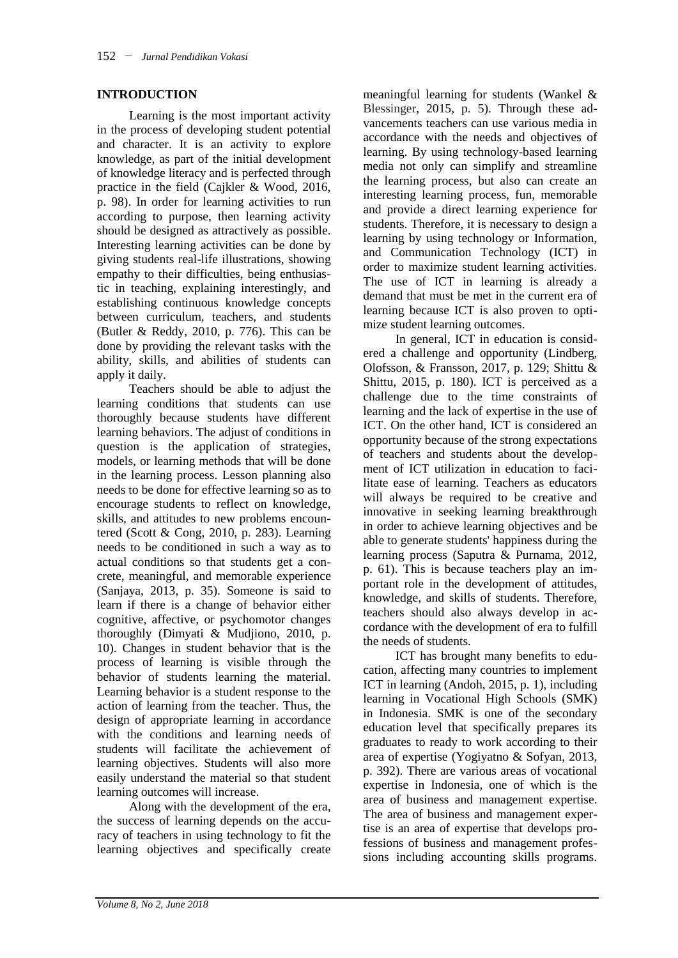## **INTRODUCTION**

Learning is the most important activity in the process of developing student potential and character. It is an activity to explore knowledge, as part of the initial development of knowledge literacy and is perfected through practice in the field (Cajkler & Wood, 2016, p. 98). In order for learning activities to run according to purpose, then learning activity should be designed as attractively as possible. Interesting learning activities can be done by giving students real-life illustrations, showing empathy to their difficulties, being enthusiastic in teaching, explaining interestingly, and establishing continuous knowledge concepts between curriculum, teachers, and students (Butler & Reddy, 2010, p. 776). This can be done by providing the relevant tasks with the ability, skills, and abilities of students can apply it daily.

Teachers should be able to adjust the learning conditions that students can use thoroughly because students have different learning behaviors. The adjust of conditions in question is the application of strategies, models, or learning methods that will be done in the learning process. Lesson planning also needs to be done for effective learning so as to encourage students to reflect on knowledge, skills, and attitudes to new problems encountered (Scott & Cong, 2010, p. 283). Learning needs to be conditioned in such a way as to actual conditions so that students get a concrete, meaningful, and memorable experience (Sanjaya, 2013, p. 35). Someone is said to learn if there is a change of behavior either cognitive, affective, or psychomotor changes thoroughly (Dimyati & Mudjiono, 2010, p. 10). Changes in student behavior that is the process of learning is visible through the behavior of students learning the material. Learning behavior is a student response to the action of learning from the teacher. Thus, the design of appropriate learning in accordance with the conditions and learning needs of students will facilitate the achievement of learning objectives. Students will also more easily understand the material so that student learning outcomes will increase.

Along with the development of the era, the success of learning depends on the accuracy of teachers in using technology to fit the learning objectives and specifically create

meaningful learning for students (Wankel & Blessinger, 2015, p. 5). Through these advancements teachers can use various media in accordance with the needs and objectives of learning. By using technology-based learning media not only can simplify and streamline the learning process, but also can create an interesting learning process, fun, memorable and provide a direct learning experience for students. Therefore, it is necessary to design a learning by using technology or Information, and Communication Technology (ICT) in order to maximize student learning activities. The use of ICT in learning is already a demand that must be met in the current era of learning because ICT is also proven to optimize student learning outcomes.

In general, ICT in education is considered a challenge and opportunity (Lindberg, Olofsson, & Fransson, 2017, p. 129; Shittu & Shittu, 2015, p. 180). ICT is perceived as a challenge due to the time constraints of learning and the lack of expertise in the use of ICT. On the other hand, ICT is considered an opportunity because of the strong expectations of teachers and students about the development of ICT utilization in education to facilitate ease of learning. Teachers as educators will always be required to be creative and innovative in seeking learning breakthrough in order to achieve learning objectives and be able to generate students' happiness during the learning process (Saputra & Purnama, 2012, p. 61). This is because teachers play an important role in the development of attitudes, knowledge, and skills of students. Therefore, teachers should also always develop in accordance with the development of era to fulfill the needs of students.

ICT has brought many benefits to education, affecting many countries to implement ICT in learning (Andoh, 2015, p. 1), including learning in Vocational High Schools (SMK) in Indonesia. SMK is one of the secondary education level that specifically prepares its graduates to ready to work according to their area of expertise (Yogiyatno & Sofyan, 2013, p. 392). There are various areas of vocational expertise in Indonesia, one of which is the area of business and management expertise. The area of business and management expertise is an area of expertise that develops professions of business and management professions including accounting skills programs.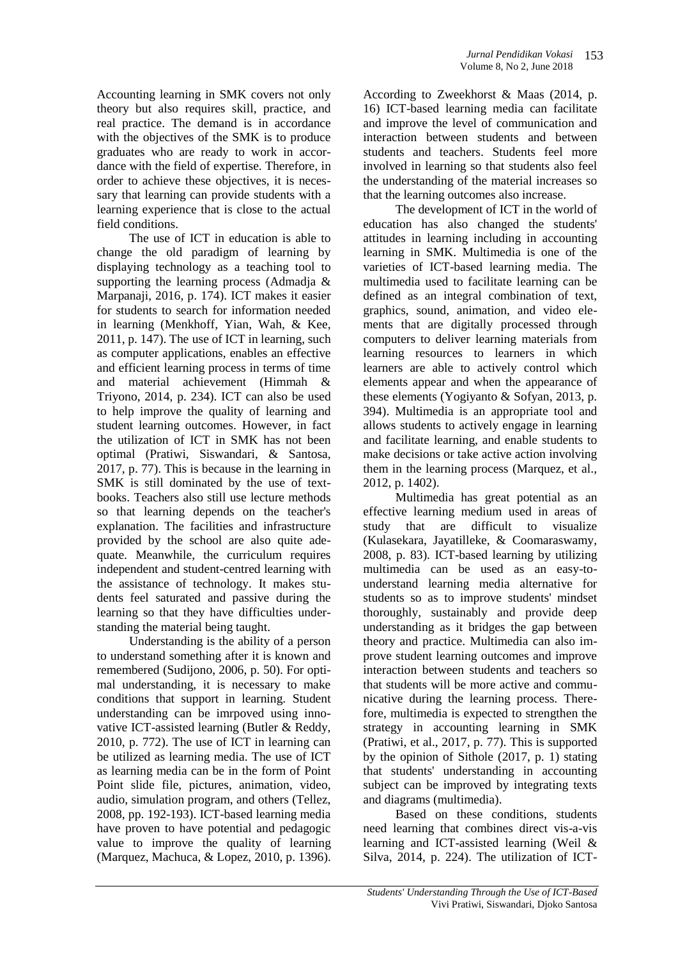Accounting learning in SMK covers not only theory but also requires skill, practice, and real practice. The demand is in accordance with the objectives of the SMK is to produce graduates who are ready to work in accordance with the field of expertise. Therefore, in order to achieve these objectives, it is necessary that learning can provide students with a learning experience that is close to the actual field conditions.

The use of ICT in education is able to change the old paradigm of learning by displaying technology as a teaching tool to supporting the learning process (Admadja & Marpanaji, 2016, p. 174). ICT makes it easier for students to search for information needed in learning (Menkhoff, Yian, Wah, & Kee, 2011, p. 147). The use of ICT in learning, such as computer applications, enables an effective and efficient learning process in terms of time and material achievement (Himmah & Triyono, 2014, p. 234). ICT can also be used to help improve the quality of learning and student learning outcomes. However, in fact the utilization of ICT in SMK has not been optimal (Pratiwi, Siswandari, & Santosa, 2017, p. 77). This is because in the learning in SMK is still dominated by the use of textbooks. Teachers also still use lecture methods so that learning depends on the teacher's explanation. The facilities and infrastructure provided by the school are also quite adequate. Meanwhile, the curriculum requires independent and student-centred learning with the assistance of technology. It makes students feel saturated and passive during the learning so that they have difficulties understanding the material being taught.

Understanding is the ability of a person to understand something after it is known and remembered (Sudijono, 2006, p. 50). For optimal understanding, it is necessary to make conditions that support in learning. Student understanding can be imrpoved using innovative ICT-assisted learning (Butler & Reddy, 2010, p. 772). The use of ICT in learning can be utilized as learning media. The use of ICT as learning media can be in the form of Point Point slide file, pictures, animation, video, audio, simulation program, and others (Tellez, 2008, pp. 192-193). ICT-based learning media have proven to have potential and pedagogic value to improve the quality of learning (Marquez, Machuca, & Lopez, 2010, p. 1396).

According to Zweekhorst & Maas (2014, p. 16) ICT-based learning media can facilitate and improve the level of communication and interaction between students and between students and teachers. Students feel more involved in learning so that students also feel the understanding of the material increases so that the learning outcomes also increase.

The development of ICT in the world of education has also changed the students' attitudes in learning including in accounting learning in SMK. Multimedia is one of the varieties of ICT-based learning media. The multimedia used to facilitate learning can be defined as an integral combination of text, graphics, sound, animation, and video elements that are digitally processed through computers to deliver learning materials from learning resources to learners in which learners are able to actively control which elements appear and when the appearance of these elements (Yogiyanto & Sofyan, 2013, p. 394). Multimedia is an appropriate tool and allows students to actively engage in learning and facilitate learning, and enable students to make decisions or take active action involving them in the learning process (Marquez, et al., 2012, p. 1402).

Multimedia has great potential as an effective learning medium used in areas of study that are difficult to visualize (Kulasekara, Jayatilleke, & Coomaraswamy, 2008, p. 83). ICT-based learning by utilizing multimedia can be used as an easy-tounderstand learning media alternative for students so as to improve students' mindset thoroughly, sustainably and provide deep understanding as it bridges the gap between theory and practice. Multimedia can also improve student learning outcomes and improve interaction between students and teachers so that students will be more active and communicative during the learning process. Therefore, multimedia is expected to strengthen the strategy in accounting learning in SMK (Pratiwi, et al., 2017, p. 77). This is supported by the opinion of Sithole (2017, p. 1) stating that students' understanding in accounting subject can be improved by integrating texts and diagrams (multimedia).

Based on these conditions, students need learning that combines direct vis-a-vis learning and ICT-assisted learning (Weil & Silva, 2014, p. 224). The utilization of ICT-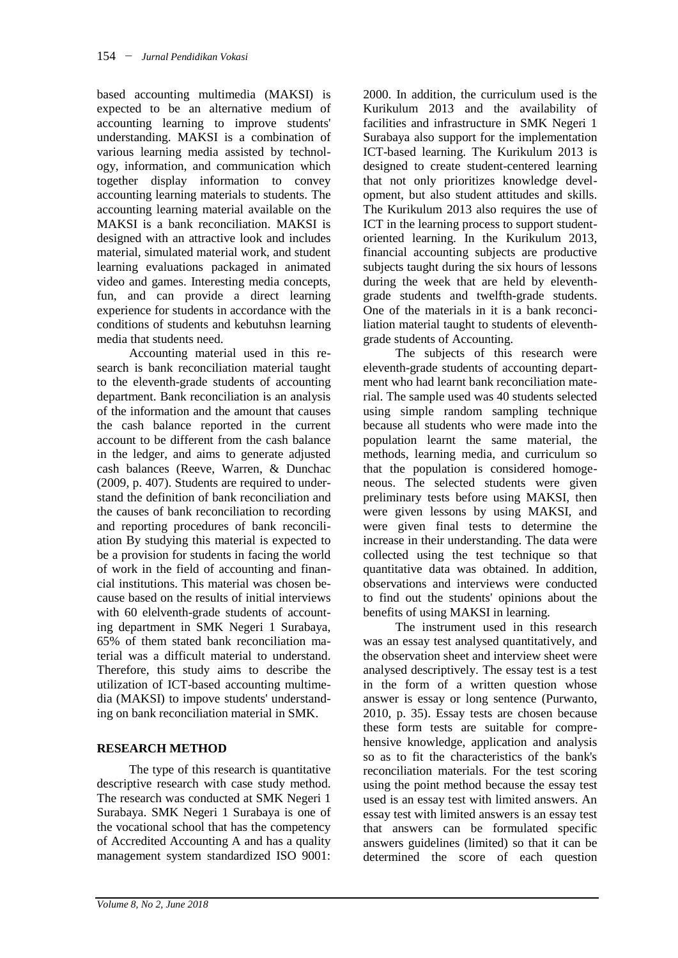based accounting multimedia (MAKSI) is expected to be an alternative medium of accounting learning to improve students' understanding. MAKSI is a combination of various learning media assisted by technology, information, and communication which together display information to convey accounting learning materials to students. The accounting learning material available on the MAKSI is a bank reconciliation. MAKSI is designed with an attractive look and includes material, simulated material work, and student learning evaluations packaged in animated video and games. Interesting media concepts, fun, and can provide a direct learning experience for students in accordance with the conditions of students and kebutuhsn learning media that students need.

Accounting material used in this research is bank reconciliation material taught to the eleventh-grade students of accounting department. Bank reconciliation is an analysis of the information and the amount that causes the cash balance reported in the current account to be different from the cash balance in the ledger, and aims to generate adjusted cash balances (Reeve, Warren, & Dunchac (2009, p. 407). Students are required to understand the definition of bank reconciliation and the causes of bank reconciliation to recording and reporting procedures of bank reconciliation By studying this material is expected to be a provision for students in facing the world of work in the field of accounting and financial institutions. This material was chosen because based on the results of initial interviews with 60 elelventh-grade students of accounting department in SMK Negeri 1 Surabaya, 65% of them stated bank reconciliation material was a difficult material to understand. Therefore, this study aims to describe the utilization of ICT-based accounting multimedia (MAKSI) to impove students' understanding on bank reconciliation material in SMK.

## **RESEARCH METHOD**

The type of this research is quantitative descriptive research with case study method. The research was conducted at SMK Negeri 1 Surabaya. SMK Negeri 1 Surabaya is one of the vocational school that has the competency of Accredited Accounting A and has a quality management system standardized ISO 9001:

2000. In addition, the curriculum used is the Kurikulum 2013 and the availability of facilities and infrastructure in SMK Negeri 1 Surabaya also support for the implementation ICT-based learning. The Kurikulum 2013 is designed to create student-centered learning that not only prioritizes knowledge development, but also student attitudes and skills. The Kurikulum 2013 also requires the use of ICT in the learning process to support studentoriented learning. In the Kurikulum 2013, financial accounting subjects are productive subjects taught during the six hours of lessons during the week that are held by eleventhgrade students and twelfth-grade students. One of the materials in it is a bank reconciliation material taught to students of eleventhgrade students of Accounting.

The subjects of this research were eleventh-grade students of accounting department who had learnt bank reconciliation material. The sample used was 40 students selected using simple random sampling technique because all students who were made into the population learnt the same material, the methods, learning media, and curriculum so that the population is considered homogeneous. The selected students were given preliminary tests before using MAKSI, then were given lessons by using MAKSI, and were given final tests to determine the increase in their understanding. The data were collected using the test technique so that quantitative data was obtained. In addition, observations and interviews were conducted to find out the students' opinions about the benefits of using MAKSI in learning.

The instrument used in this research was an essay test analysed quantitatively, and the observation sheet and interview sheet were analysed descriptively. The essay test is a test in the form of a written question whose answer is essay or long sentence (Purwanto, 2010, p. 35). Essay tests are chosen because these form tests are suitable for comprehensive knowledge, application and analysis so as to fit the characteristics of the bank's reconciliation materials. For the test scoring using the point method because the essay test used is an essay test with limited answers. An essay test with limited answers is an essay test that answers can be formulated specific answers guidelines (limited) so that it can be determined the score of each question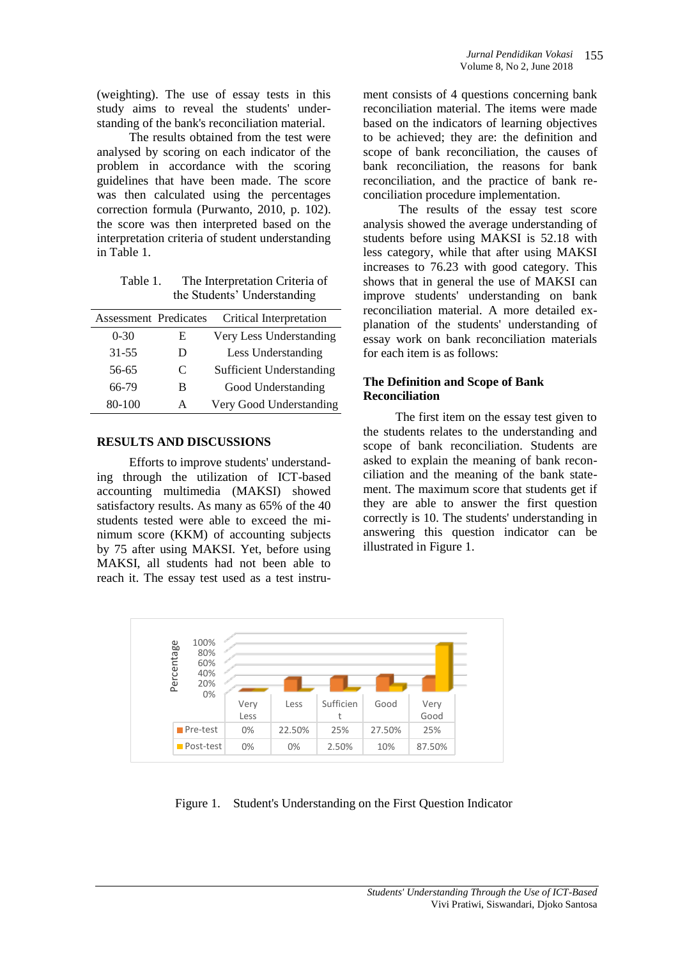(weighting). The use of essay tests in this study aims to reveal the students' understanding of the bank's reconciliation material.

The results obtained from the test were analysed by scoring on each indicator of the problem in accordance with the scoring guidelines that have been made. The score was then calculated using the percentages correction formula (Purwanto, 2010, p. 102). the score was then interpreted based on the interpretation criteria of student understanding in Table 1.

Table 1. The Interpretation Criteria of the Students' Understanding

| Assessment Predicates |   | Critical Interpretation         |
|-----------------------|---|---------------------------------|
| $0 - 30$              | E | Very Less Understanding         |
| $31 - 55$             | D | Less Understanding              |
| 56-65                 | C | <b>Sufficient Understanding</b> |
| 66-79                 | в | Good Understanding              |
| 80-100                | А | Very Good Understanding         |

## **RESULTS AND DISCUSSIONS**

Efforts to improve students' understanding through the utilization of ICT-based accounting multimedia (MAKSI) showed satisfactory results. As many as 65% of the 40 students tested were able to exceed the minimum score (KKM) of accounting subjects by 75 after using MAKSI. Yet, before using MAKSI, all students had not been able to reach it. The essay test used as a test instrument consists of 4 questions concerning bank reconciliation material. The items were made based on the indicators of learning objectives to be achieved; they are: the definition and scope of bank reconciliation, the causes of bank reconciliation, the reasons for bank reconciliation, and the practice of bank reconciliation procedure implementation.

The results of the essay test score analysis showed the average understanding of students before using MAKSI is 52.18 with less category, while that after using MAKSI increases to 76.23 with good category. This shows that in general the use of MAKSI can improve students' understanding on bank reconciliation material. A more detailed explanation of the students' understanding of essay work on bank reconciliation materials for each item is as follows:

## **The Definition and Scope of Bank Reconciliation**

The first item on the essay test given to the students relates to the understanding and scope of bank reconciliation. Students are asked to explain the meaning of bank reconciliation and the meaning of the bank statement. The maximum score that students get if they are able to answer the first question correctly is 10. The students' understanding in answering this question indicator can be illustrated in Figure 1.



Figure 1. Student's Understanding on the First Question Indicator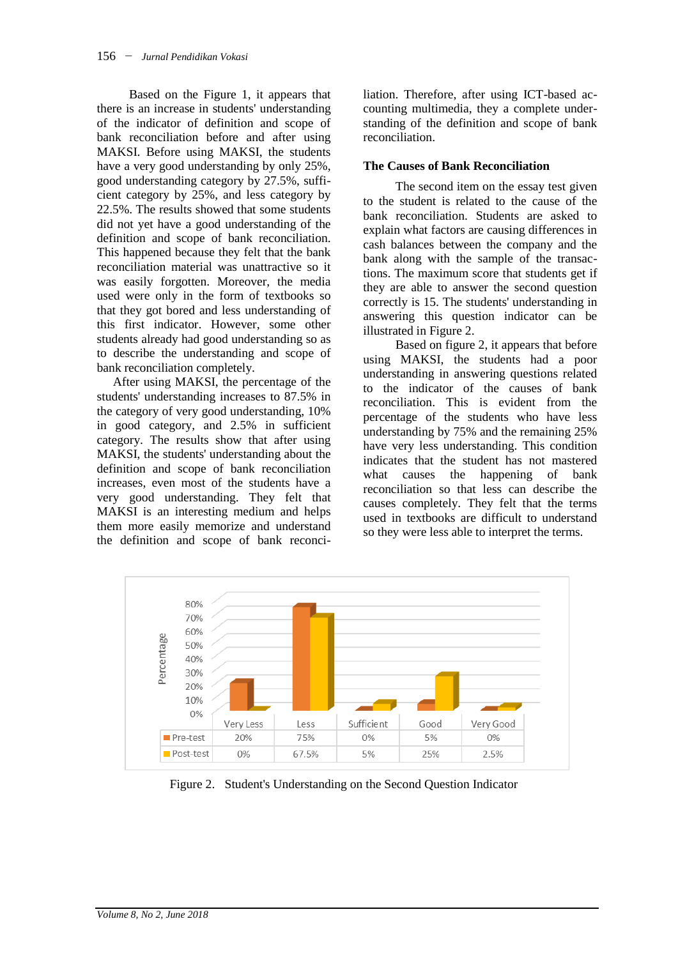Based on the Figure 1, it appears that there is an increase in students' understanding of the indicator of definition and scope of bank reconciliation before and after using MAKSI. Before using MAKSI, the students have a very good understanding by only 25%, good understanding category by 27.5%, sufficient category by 25%, and less category by 22.5%. The results showed that some students did not yet have a good understanding of the definition and scope of bank reconciliation. This happened because they felt that the bank reconciliation material was unattractive so it was easily forgotten. Moreover, the media used were only in the form of textbooks so that they got bored and less understanding of this first indicator. However, some other students already had good understanding so as to describe the understanding and scope of bank reconciliation completely.

After using MAKSI, the percentage of the students' understanding increases to 87.5% in the category of very good understanding, 10% in good category, and 2.5% in sufficient category. The results show that after using MAKSI, the students' understanding about the definition and scope of bank reconciliation increases, even most of the students have a very good understanding. They felt that MAKSI is an interesting medium and helps them more easily memorize and understand the definition and scope of bank reconciliation. Therefore, after using ICT-based accounting multimedia, they a complete understanding of the definition and scope of bank reconciliation.

## **The Causes of Bank Reconciliation**

The second item on the essay test given to the student is related to the cause of the bank reconciliation. Students are asked to explain what factors are causing differences in cash balances between the company and the bank along with the sample of the transactions. The maximum score that students get if they are able to answer the second question correctly is 15. The students' understanding in answering this question indicator can be illustrated in Figure 2.

Based on figure 2, it appears that before using MAKSI, the students had a poor understanding in answering questions related to the indicator of the causes of bank reconciliation. This is evident from the percentage of the students who have less understanding by 75% and the remaining 25% have very less understanding. This condition indicates that the student has not mastered what causes the happening of bank reconciliation so that less can describe the causes completely. They felt that the terms used in textbooks are difficult to understand so they were less able to interpret the terms.



Figure 2. Student's Understanding on the Second Question Indicator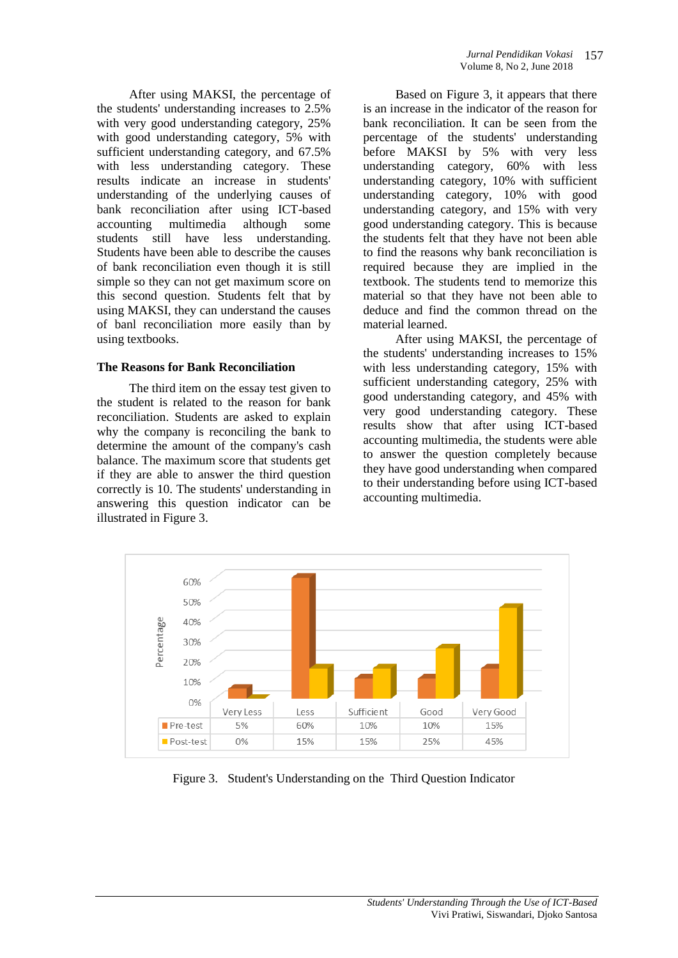After using MAKSI, the percentage of the students' understanding increases to 2.5% with very good understanding category, 25% with good understanding category, 5% with sufficient understanding category, and 67.5% with less understanding category. These results indicate an increase in students' understanding of the underlying causes of bank reconciliation after using ICT-based accounting multimedia although some<br>students still have less understanding. students still have less understanding. Students have been able to describe the causes of bank reconciliation even though it is still simple so they can not get maximum score on this second question. Students felt that by using MAKSI, they can understand the causes of banl reconciliation more easily than by using textbooks.

## **The Reasons for Bank Reconciliation**

The third item on the essay test given to the student is related to the reason for bank reconciliation. Students are asked to explain why the company is reconciling the bank to determine the amount of the company's cash balance. The maximum score that students get if they are able to answer the third question correctly is 10. The students' understanding in answering this question indicator can be illustrated in Figure 3.

Based on Figure 3, it appears that there is an increase in the indicator of the reason for bank reconciliation. It can be seen from the percentage of the students' understanding before MAKSI by 5% with very less understanding category, 60% with less understanding category, 10% with sufficient understanding category, 10% with good understanding category, and 15% with very good understanding category. This is because the students felt that they have not been able to find the reasons why bank reconciliation is required because they are implied in the textbook. The students tend to memorize this material so that they have not been able to deduce and find the common thread on the material learned.

After using MAKSI, the percentage of the students' understanding increases to 15% with less understanding category, 15% with sufficient understanding category, 25% with good understanding category, and 45% with very good understanding category. These results show that after using ICT-based accounting multimedia, the students were able to answer the question completely because they have good understanding when compared to their understanding before using ICT-based accounting multimedia.



Figure 3. Student's Understanding on the Third Question Indicator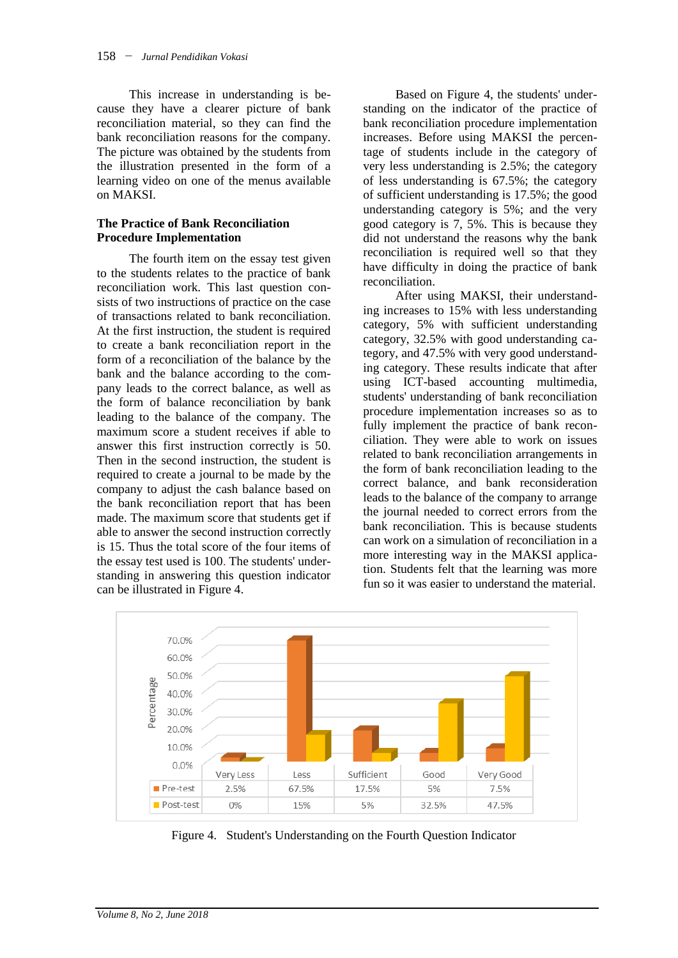This increase in understanding is because they have a clearer picture of bank reconciliation material, so they can find the bank reconciliation reasons for the company. The picture was obtained by the students from the illustration presented in the form of a learning video on one of the menus available on MAKSI.

## **The Practice of Bank Reconciliation Procedure Implementation**

The fourth item on the essay test given to the students relates to the practice of bank reconciliation work. This last question consists of two instructions of practice on the case of transactions related to bank reconciliation. At the first instruction, the student is required to create a bank reconciliation report in the form of a reconciliation of the balance by the bank and the balance according to the company leads to the correct balance, as well as the form of balance reconciliation by bank leading to the balance of the company. The maximum score a student receives if able to answer this first instruction correctly is 50. Then in the second instruction, the student is required to create a journal to be made by the company to adjust the cash balance based on the bank reconciliation report that has been made. The maximum score that students get if able to answer the second instruction correctly is 15. Thus the total score of the four items of the essay test used is 100. The students' understanding in answering this question indicator can be illustrated in Figure 4.

Based on Figure 4, the students' understanding on the indicator of the practice of bank reconciliation procedure implementation increases. Before using MAKSI the percentage of students include in the category of very less understanding is 2.5%; the category of less understanding is 67.5%; the category of sufficient understanding is 17.5%; the good understanding category is 5%; and the very good category is 7, 5%. This is because they did not understand the reasons why the bank reconciliation is required well so that they have difficulty in doing the practice of bank reconciliation.

After using MAKSI, their understanding increases to 15% with less understanding category, 5% with sufficient understanding category, 32.5% with good understanding category, and 47.5% with very good understanding category. These results indicate that after using ICT-based accounting multimedia, students' understanding of bank reconciliation procedure implementation increases so as to fully implement the practice of bank reconciliation. They were able to work on issues related to bank reconciliation arrangements in the form of bank reconciliation leading to the correct balance, and bank reconsideration leads to the balance of the company to arrange the journal needed to correct errors from the bank reconciliation. This is because students can work on a simulation of reconciliation in a more interesting way in the MAKSI application. Students felt that the learning was more fun so it was easier to understand the material.



Figure 4. Student's Understanding on the Fourth Question Indicator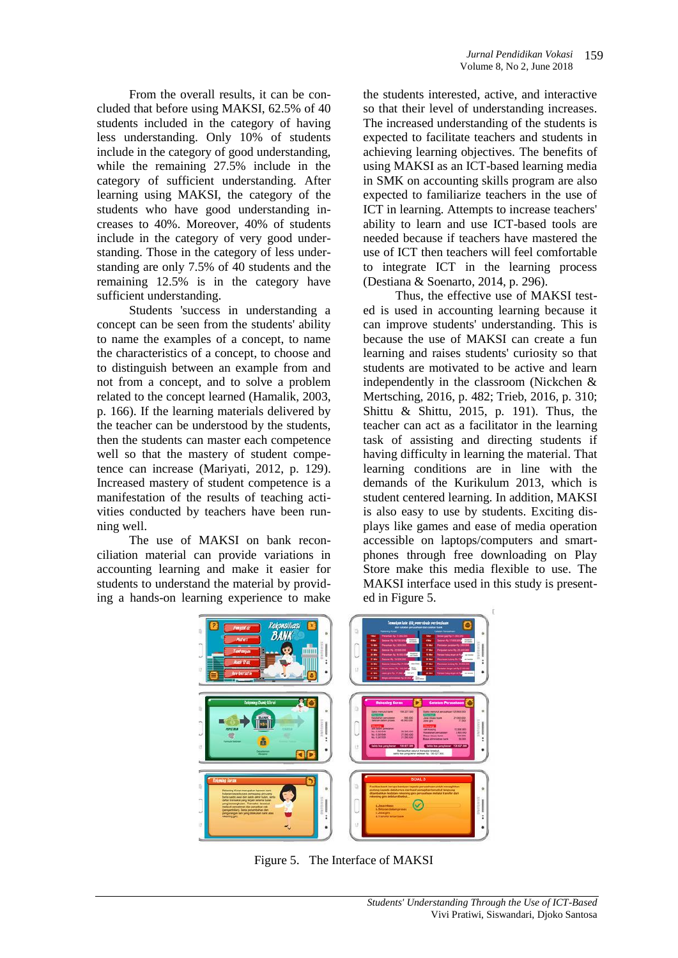From the overall results, it can be concluded that before using MAKSI, 62.5% of 40 students included in the category of having less understanding. Only 10% of students include in the category of good understanding, while the remaining 27.5% include in the category of sufficient understanding. After learning using MAKSI, the category of the students who have good understanding increases to 40%. Moreover, 40% of students include in the category of very good understanding. Those in the category of less understanding are only 7.5% of 40 students and the remaining 12.5% is in the category have sufficient understanding.

Students 'success in understanding a concept can be seen from the students' ability to name the examples of a concept, to name the characteristics of a concept, to choose and to distinguish between an example from and not from a concept, and to solve a problem related to the concept learned (Hamalik, 2003, p. 166). If the learning materials delivered by the teacher can be understood by the students, then the students can master each competence well so that the mastery of student competence can increase (Mariyati, 2012, p. 129). Increased mastery of student competence is a manifestation of the results of teaching activities conducted by teachers have been running well.

The use of MAKSI on bank reconciliation material can provide variations in accounting learning and make it easier for students to understand the material by providing a hands-on learning experience to make the students interested, active, and interactive so that their level of understanding increases. The increased understanding of the students is expected to facilitate teachers and students in achieving learning objectives. The benefits of using MAKSI as an ICT-based learning media in SMK on accounting skills program are also expected to familiarize teachers in the use of ICT in learning. Attempts to increase teachers' ability to learn and use ICT-based tools are needed because if teachers have mastered the use of ICT then teachers will feel comfortable to integrate ICT in the learning process (Destiana & Soenarto, 2014, p. 296).

Thus, the effective use of MAKSI tested is used in accounting learning because it can improve students' understanding. This is because the use of MAKSI can create a fun learning and raises students' curiosity so that students are motivated to be active and learn independently in the classroom (Nickchen & Mertsching, 2016, p. 482; Trieb, 2016, p. 310; Shittu & Shittu, 2015, p. 191). Thus, the teacher can act as a facilitator in the learning task of assisting and directing students if having difficulty in learning the material. That learning conditions are in line with the demands of the Kurikulum 2013, which is student centered learning. In addition, MAKSI is also easy to use by students. Exciting displays like games and ease of media operation accessible on laptops/computers and smartphones through free downloading on Play Store make this media flexible to use. The MAKSI interface used in this study is presented in Figure 5.



Figure 5. The Interface of MAKSI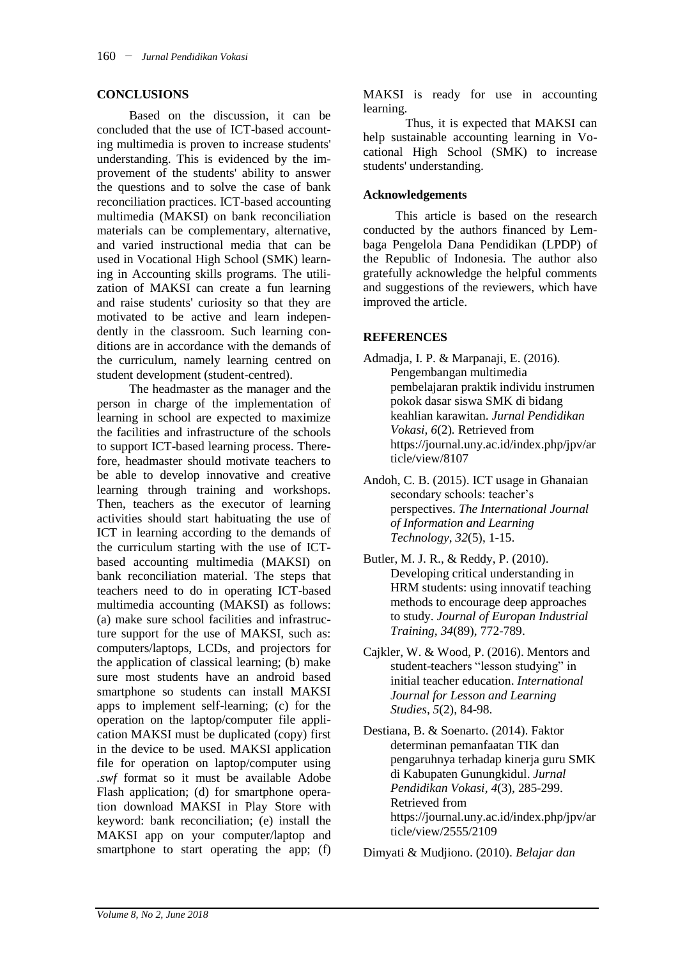### **CONCLUSIONS**

Based on the discussion, it can be concluded that the use of ICT-based accounting multimedia is proven to increase students' understanding. This is evidenced by the improvement of the students' ability to answer the questions and to solve the case of bank reconciliation practices. ICT-based accounting multimedia (MAKSI) on bank reconciliation materials can be complementary, alternative, and varied instructional media that can be used in Vocational High School (SMK) learning in Accounting skills programs. The utilization of MAKSI can create a fun learning and raise students' curiosity so that they are motivated to be active and learn independently in the classroom. Such learning conditions are in accordance with the demands of the curriculum, namely learning centred on student development (student-centred).

The headmaster as the manager and the person in charge of the implementation of learning in school are expected to maximize the facilities and infrastructure of the schools to support ICT-based learning process. Therefore, headmaster should motivate teachers to be able to develop innovative and creative learning through training and workshops. Then, teachers as the executor of learning activities should start habituating the use of ICT in learning according to the demands of the curriculum starting with the use of ICTbased accounting multimedia (MAKSI) on bank reconciliation material. The steps that teachers need to do in operating ICT-based multimedia accounting (MAKSI) as follows: (a) make sure school facilities and infrastructure support for the use of MAKSI, such as: computers/laptops, LCDs, and projectors for the application of classical learning; (b) make sure most students have an android based smartphone so students can install MAKSI apps to implement self-learning; (c) for the operation on the laptop/computer file application MAKSI must be duplicated (copy) first in the device to be used. MAKSI application file for operation on laptop/computer using *.swf* format so it must be available Adobe Flash application; (d) for smartphone operation download MAKSI in Play Store with keyword: bank reconciliation; (e) install the MAKSI app on your computer/laptop and smartphone to start operating the app; (f)

MAKSI is ready for use in accounting learning.

Thus, it is expected that MAKSI can help sustainable accounting learning in Vocational High School (SMK) to increase students' understanding.

#### **Acknowledgements**

This article is based on the research conducted by the authors financed by Lembaga Pengelola Dana Pendidikan (LPDP) of the Republic of Indonesia. The author also gratefully acknowledge the helpful comments and suggestions of the reviewers, which have improved the article.

## **REFERENCES**

- Admadja, I. P. & Marpanaji, E. (2016). Pengembangan multimedia pembelajaran praktik individu instrumen pokok dasar siswa SMK di bidang keahlian karawitan. *Jurnal Pendidikan Vokasi, 6*(2)*.* Retrieved from https://journal.uny.ac.id/index.php/jpv/ar ticle/view/8107
- Andoh, C. B. (2015). ICT usage in Ghanaian secondary schools: teacher's perspectives. *The International Journal of Information and Learning Technology*, *32*(5), 1-15.
- Butler, M. J. R., & Reddy, P. (2010). Developing critical understanding in HRM students: using innovatif teaching methods to encourage deep approaches to study. *Journal of Europan Industrial Training, 34*(89), 772-789.
- Cajkler, W. & Wood, P. (2016). Mentors and student-teachers "lesson studying" in initial teacher education. *International Journal for Lesson and Learning Studies*, *5*(2), 84-98.
- Destiana, B. & Soenarto. (2014). Faktor determinan pemanfaatan TIK dan pengaruhnya terhadap kinerja guru SMK di Kabupaten Gunungkidul. *Jurnal Pendidikan Vokasi, 4*(3), 285-299. Retrieved from https://journal.uny.ac.id/index.php/jpv/ar ticle/view/2555/2109

Dimyati & Mudjiono. (2010). *Belajar dan*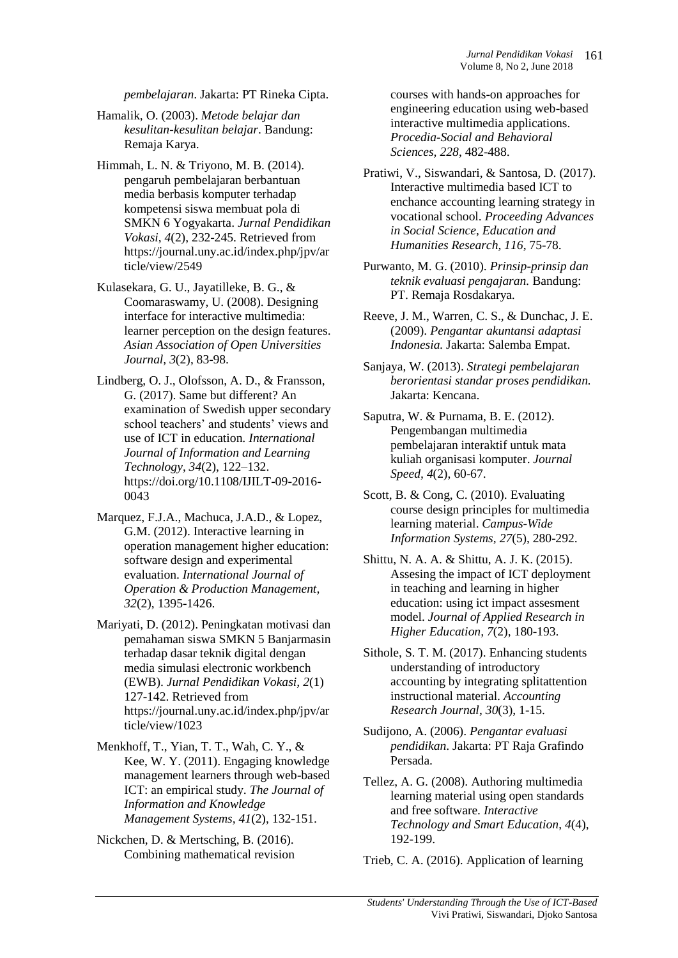*pembelajaran*. Jakarta: PT Rineka Cipta.

Hamalik, O. (2003). *Metode belajar dan kesulitan-kesulitan belajar*. Bandung: Remaja Karya.

Himmah, L. N. & Triyono, M. B. (2014). pengaruh pembelajaran berbantuan media berbasis komputer terhadap kompetensi siswa membuat pola di SMKN 6 Yogyakarta. *Jurnal Pendidikan Vokasi*, *4*(2), 232-245. Retrieved from https://journal.uny.ac.id/index.php/jpv/ar ticle/view/2549

Kulasekara, G. U., Jayatilleke, B. G., & Coomaraswamy, U. (2008). Designing interface for interactive multimedia: learner perception on the design features. *Asian Association of Open Universities Journal, 3*(2), 83-98.

Lindberg, O. J., Olofsson, A. D., & Fransson, G. (2017). Same but different? An examination of Swedish upper secondary school teachers' and students' views and use of ICT in education. *International Journal of Information and Learning Technology*, *34*(2), 122–132. https://doi.org/10.1108/IJILT-09-2016- 0043

Marquez, F.J.A., Machuca, J.A.D., & Lopez, G.M. (2012). Interactive learning in operation management higher education: software design and experimental evaluation. *International Journal of Operation & Production Management, 32*(2), 1395-1426.

Mariyati, D. (2012). Peningkatan motivasi dan pemahaman siswa SMKN 5 Banjarmasin terhadap dasar teknik digital dengan media simulasi electronic workbench (EWB). *Jurnal Pendidikan Vokasi, 2*(1) 127-142. Retrieved from https://journal.uny.ac.id/index.php/jpv/ar ticle/view/1023

Menkhoff, T., Yian, T. T., Wah, C. Y., & Kee, W. Y. (2011). Engaging knowledge management learners through web-based ICT: an empirical study. *The Journal of Information and Knowledge Management Systems, 41*(2), 132-151.

Nickchen, D. & Mertsching, B. (2016). Combining mathematical revision courses with hands-on approaches for engineering education using web-based interactive multimedia applications. *Procedia-Social and Behavioral Sciences, 228*, 482-488.

Pratiwi, V., Siswandari, & Santosa, D. (2017). Interactive multimedia based ICT to enchance accounting learning strategy in vocational school. *Proceeding Advances in Social Science, Education and Humanities Research, 116*, 75-78.

Reeve, J. M., Warren, C. S., & Dunchac, J. E. (2009). *Pengantar akuntansi adaptasi Indonesia.* Jakarta: Salemba Empat.

Sanjaya, W. (2013). *Strategi pembelajaran berorientasi standar proses pendidikan.*  Jakarta: Kencana.

Saputra, W. & Purnama, B. E. (2012). Pengembangan multimedia pembelajaran interaktif untuk mata kuliah organisasi komputer. *Journal Speed, 4*(2), 60-67.

Scott, B. & Cong, C. (2010). Evaluating course design principles for multimedia learning material. *Campus-Wide Information Systems, 27*(5), 280-292.

Shittu, N. A. A. & Shittu, A. J. K. (2015). Assesing the impact of ICT deployment in teaching and learning in higher education: using ict impact assesment model. *Journal of Applied Research in Higher Education, 7*(2), 180-193.

Sithole, S. T. M. (2017). Enhancing students understanding of introductory accounting by integrating splitattention instructional material. *Accounting Research Journal*, *30*(3), 1-15.

Sudijono, A. (2006). *Pengantar evaluasi pendidikan*. Jakarta: PT Raja Grafindo Persada.

Tellez, A. G. (2008). Authoring multimedia learning material using open standards and free software. *Interactive Technology and Smart Education*, *4*(4), 192-199.

Trieb, C. A. (2016). Application of learning

Purwanto, M. G. (2010). *Prinsip-prinsip dan teknik evaluasi pengajaran.* Bandung: PT. Remaja Rosdakarya*.*